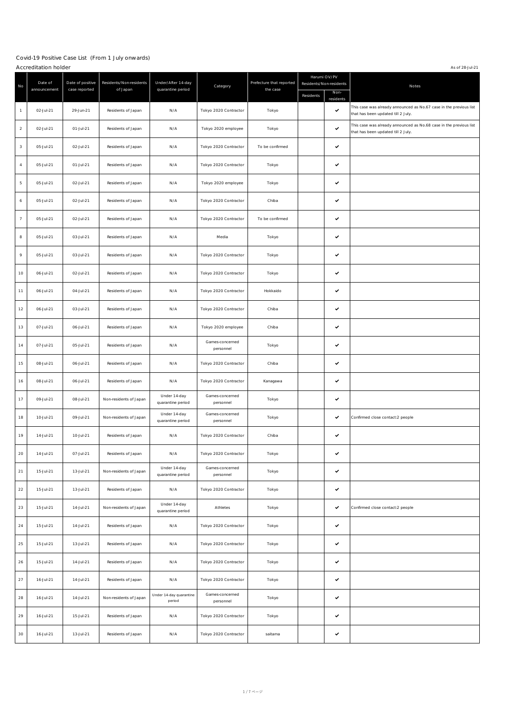|                | As of 28-J ul-21<br>Accreditation holder |                                   |                                     |                                         |                              |                                      |           |                                                 |                                                                                                          |
|----------------|------------------------------------------|-----------------------------------|-------------------------------------|-----------------------------------------|------------------------------|--------------------------------------|-----------|-------------------------------------------------|----------------------------------------------------------------------------------------------------------|
| No             | Date of<br>announcement                  | Date of positive<br>case reported | Residents/Non-residents<br>of Japan | Under/After 14-day<br>quarantine period | Category                     | Prefecture that reported<br>the case | Residents | Harumi OV/PV<br>Residents/Non-residents<br>Non- | Notes                                                                                                    |
| $\mathbf{1}$   | 02-Jul-21                                | 29-J un-21                        | Residents of J apan                 | N/A                                     | Tokyo 2020 Contractor        | Tokyo                                |           | residents<br>$\checkmark$                       | This case was already announced as No.67 case in the previous list<br>that has been updated till 2 July. |
| $\overline{2}$ | 02-Jul-21                                | 01-Jul-21                         | Residents of J apan                 | N/A                                     | Tokyo 2020 employee          | Tokyo                                |           | $\checkmark$                                    | This case was already announced as No.68 case in the previous list<br>that has been updated till 2 July. |
| 3              | 05-Jul-21                                | 02-Jul-21                         | Residents of J apan                 | N/A                                     | Tokyo 2020 Contractor        | To be confirmed                      |           | $\checkmark$                                    |                                                                                                          |
| 4              | 05-Jul-21                                | 01-Jul-21                         | Residents of J apan                 | N/A                                     | Tokyo 2020 Contractor        | Tokyo                                |           | $\checkmark$                                    |                                                                                                          |
| 5              | 05-Jul-21                                | 02-Jul-21                         | Residents of J apan                 | N/A                                     | Tokyo 2020 employee          | Tokyo                                |           | $\checkmark$                                    |                                                                                                          |
| 6              | 05-Jul-21                                | 02-Jul-21                         | Residents of J apan                 | N/A                                     | Tokyo 2020 Contractor        | Chiba                                |           | $\checkmark$                                    |                                                                                                          |
| $\overline{7}$ | 05-Jul-21                                | 02-Jul-21                         | Residents of J apan                 | N/A                                     | Tokyo 2020 Contractor        | To be confirmed                      |           | $\checkmark$                                    |                                                                                                          |
| 8              | 05-J ul-21                               | 03-Jul-21                         | Residents of J apan                 | N/A                                     | Media                        | Tokyo                                |           | $\checkmark$                                    |                                                                                                          |
| 9              | 05-Jul-21                                | 03-Jul-21                         | Residents of J apan                 | N/A                                     | Tokyo 2020 Contractor        | Tokyo                                |           | $\checkmark$                                    |                                                                                                          |
| 10             | 06-Jul-21                                | 02-Jul-21                         | Residents of J apan                 | N/A                                     | Tokyo 2020 Contractor        | Tokyo                                |           | $\checkmark$                                    |                                                                                                          |
| 11             | 06-Jul-21                                | 04-Jul-21                         | Residents of J apan                 | N/A                                     | Tokyo 2020 Contractor        | Hokkaido                             |           | $\checkmark$                                    |                                                                                                          |
| 12             | 06-Jul-21                                | 03-Jul-21                         | Residents of J apan                 | N/A                                     | Tokyo 2020 Contractor        | Chiba                                |           | $\checkmark$                                    |                                                                                                          |
| 13             | 07-Jul-21                                | 06-Jul-21                         | Residents of J apan                 | N/A                                     | Tokyo 2020 employee          | Chiba                                |           | $\checkmark$                                    |                                                                                                          |
| 14             | 07-Jul-21                                | 05-Jul-21                         | Residents of J apan                 | N/A                                     | Games-concerned<br>personnel | Tokyo                                |           | $\checkmark$                                    |                                                                                                          |
| 15             | 08-Jul-21                                | 06-Jul-21                         | Residents of J apan                 | N/A                                     | Tokyo 2020 Contractor        | Chiba                                |           | $\checkmark$                                    |                                                                                                          |
| 16             | 08-Jul-21                                | 06-Jul-21                         | Residents of J apan                 | N/A                                     | Tokyo 2020 Contractor        | Kanagawa                             |           | $\checkmark$                                    |                                                                                                          |
| 17             | 09-Jul-21                                | 08-Jul-21                         | Non-residents of J apan             | Under 14-day<br>quarantine period       | Games-concerned<br>personnel | Tokyo                                |           | $\checkmark$                                    |                                                                                                          |
| 18             | 10-Jul-21                                | 09-Jul-21                         | Non-residents of J apan             | Under 14-day<br>quarantine period       | Games-concerned<br>personnel | Tokyo                                |           | $\checkmark$                                    | Confirmed close contact:2 people                                                                         |
| 19             | 14-J ul-21                               | 10-Jul-21                         | Residents of J apan                 | N/A                                     | Tokyo 2020 Contractor        | Chiba                                |           | $\checkmark$                                    |                                                                                                          |
| 20             | 14-Jul-21                                | 07-Jul-21                         | Residents of J apan                 | N/A                                     | Tokyo 2020 Contractor        | Tokyo                                |           | $\checkmark$                                    |                                                                                                          |
| 21             | 15-Jul-21                                | 13-Jul-21                         | Non-residents of J apan             | Under 14-day<br>quarantine period       | Games-concerned<br>personnel | Tokyo                                |           | $\checkmark$                                    |                                                                                                          |
| 22             | 15-Jul-21                                | 13-Jul-21                         | Residents of J apan                 | N/A                                     | Tokyo 2020 Contractor        | Tokyo                                |           | $\checkmark$                                    |                                                                                                          |
| 23             | 15-Jul-21                                | 14-Jul-21                         | Non-residents of J apan             | Under 14-day<br>quarantine period       | Athletes                     | Tokyo                                |           | $\checkmark$                                    | Confirmed close contact:2 people                                                                         |
| 24             | 15-Jul-21                                | 14-Jul-21                         | Residents of J apan                 | N/A                                     | Tokyo 2020 Contractor        | Tokyo                                |           | $\checkmark$                                    |                                                                                                          |
| 25             | 15-Jul-21                                | 13-Jul-21                         | Residents of J apan                 | N/A                                     | Tokyo 2020 Contractor        | Tokyo                                |           | $\checkmark$                                    |                                                                                                          |
| 26             | 15-Jul-21                                | 14-Jul-21                         | Residents of J apan                 | N/A                                     | Tokyo 2020 Contractor        | Tokyo                                |           | $\checkmark$                                    |                                                                                                          |
| 27             | 16-Jul-21                                | 14-Jul-21                         | Residents of J apan                 | N/A                                     | Tokyo 2020 Contractor        | Tokyo                                |           | $\checkmark$                                    |                                                                                                          |
| 28             | 16-Jul-21                                | 14-Jul-21                         | Non-residents of J apan             | Under 14-day quarantine<br>period       | Games-concerned<br>personnel | Tokyo                                |           | $\checkmark$                                    |                                                                                                          |
| 29             | 16-Jul-21                                | 15-Jul-21                         | Residents of J apan                 | N/A                                     | Tokyo 2020 Contractor        | Tokyo                                |           | $\checkmark$                                    |                                                                                                          |
| 30             | 16-Jul-21                                | 13-Jul-21                         | Residents of J apan                 | N/A                                     | Tokyo 2020 Contractor        | saitama                              |           | $\checkmark$                                    |                                                                                                          |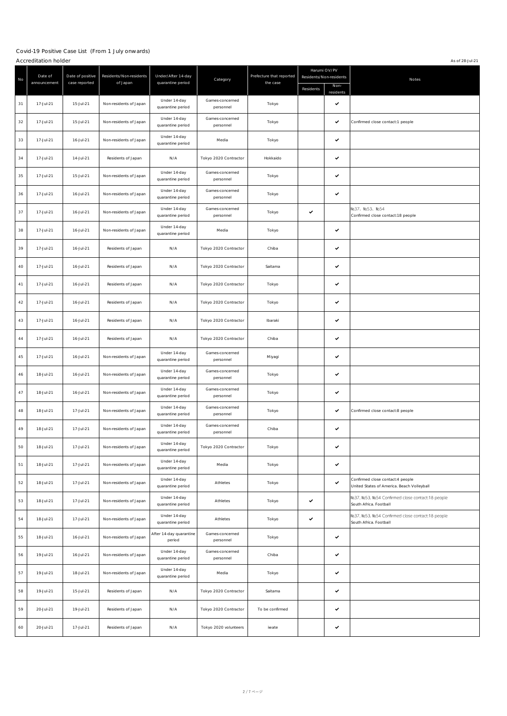#### Covid-19 Positive Case List (From 1 J uly onwards)  $\overline{A}$  Accreditation holder  $\overline{A}$  as of 28-J ul-21

|    | ACCICATION INICI        |                                   |                                     |                                         |                              |                                      |              |                                                 | A 3 01 2 0 1 0 2 3                                                             |
|----|-------------------------|-----------------------------------|-------------------------------------|-----------------------------------------|------------------------------|--------------------------------------|--------------|-------------------------------------------------|--------------------------------------------------------------------------------|
| No | Date of<br>announcement | Date of positive<br>case reported | Residents/Non-residents<br>of Japan | Under/After 14-day<br>quarantine period | Category                     | Prefecture that reported<br>the case | Residents    | Harumi OV/PV<br>Residents/Non-residents<br>Non- | Notes                                                                          |
| 31 | 17-Jul-21               | 15-Jul-21                         | Non-residents of J apan             | Under 14-day<br>quarantine period       | Games-concerned<br>personnel | Tokyo                                |              | residents<br>✓                                  |                                                                                |
| 32 | 17-Jul-21               | 15-Jul-21                         | Non-residents of J apan             | Under 14-day<br>quarantine period       | Games-concerned<br>personnel | Tokyo                                |              | ✓                                               | Confirmed close contact:1 people                                               |
| 33 | 17-Jul-21               | 16-Jul-21                         | Non-residents of J apan             | Under 14-day<br>quarantine period       | Media                        | Tokyo                                |              | ✓                                               |                                                                                |
| 34 | 17-Jul-21               | 14-Jul-21                         | Residents of J apan                 | N/A                                     | Tokyo 2020 Contractor        | Hokkaido                             |              | ✓                                               |                                                                                |
| 35 | 17-Jul-21               | 15-Jul-21                         | Non-residents of J apan             | Under 14-day<br>quarantine period       | Games-concerned<br>personnel | Tokyo                                |              | ✓                                               |                                                                                |
| 36 | 17-Jul-21               | 16-Jul-21                         | Non-residents of J apan             | Under 14-day<br>quarantine period       | Games-concerned<br>personnel | Tokyo                                |              | $\checkmark$                                    |                                                                                |
| 37 | 17-Jul-21               | 16-Jul-21                         | Non-residents of J apan             | Under 14-day<br>quarantine period       | Games-concerned<br>personnel | Tokyo                                | $\checkmark$ |                                                 | Na37, Na53, Na54<br>Confirmed close contact:18 people                          |
| 38 | 17-Jul-21               | 16-Jul-21                         | Non-residents of J apan             | Under 14-day<br>quarantine period       | Media                        | Tokyo                                |              | $\checkmark$                                    |                                                                                |
| 39 | 17-Jul-21               | 16-Jul-21                         | Residents of J apan                 | N/A                                     | Tokyo 2020 Contractor        | Chiba                                |              | ✓                                               |                                                                                |
| 40 | 17-Jul-21               | 16-Jul-21                         | Residents of J apan                 | N/A                                     | Tokyo 2020 Contractor        | Saitama                              |              | ✓                                               |                                                                                |
| 41 | 17-Jul-21               | 16-Jul-21                         | Residents of Japan                  | N/A                                     | Tokyo 2020 Contractor        | Tokyo                                |              | ✓                                               |                                                                                |
| 42 | 17-Jul-21               | 16-Jul-21                         | Residents of Japan                  | N/A                                     | Tokyo 2020 Contractor        | Tokyo                                |              | ✓                                               |                                                                                |
| 43 | 17-Jul-21               | 16-Jul-21                         | Residents of Japan                  | N/A                                     | Tokyo 2020 Contractor        | Ibaraki                              |              | ✓                                               |                                                                                |
| 44 | 17-Jul-21               | 16-Jul-21                         | Residents of J apan                 | N/A                                     | Tokyo 2020 Contractor        | Chiba                                |              | ✓                                               |                                                                                |
| 45 | 17-Jul-21               | 16-Jul-21                         | Non-residents of J apan             | Under 14-day<br>quarantine period       | Games-concerned<br>personnel | Miyagi                               |              | ✓                                               |                                                                                |
| 46 | 18-Jul-21               | 16-Jul-21                         | Non-residents of J apan             | Under 14-day<br>quarantine period       | Games-concerned<br>personnel | Tokyo                                |              | ✓                                               |                                                                                |
| 47 | 18-Jul-21               | 16-Jul-21                         | Non-residents of J apan             | Under 14-day<br>quarantine period       | Games-concerned<br>personnel | Tokyo                                |              | ✓                                               |                                                                                |
| 48 | 18-Jul-21               | 17-Jul-21                         | Non-residents of J apan             | Under 14-day<br>quarantine period       | Games-concerned<br>personnel | Tokyo                                |              | ✓                                               | Confirmed close contact:8 people                                               |
| 49 | 18-Jul-21               | 17-Jul-21                         | Non-residents of J apan             | Under 14-day<br>quarantine period       | Games-concerned<br>personnel | Chiba                                |              | ✓                                               |                                                                                |
| 50 | 18-Jul-21               | 17-Jul-21                         | Non-residents of J apan             | Under 14-day<br>quarantine period       | Tokyo 2020 Contractor        | Tokyo                                |              | ✓                                               |                                                                                |
| 51 | 18-Jul-21               | 17-Jul-21                         | Non-residents of J apan             | Under 14-day<br>quarantine period       | Media                        | Tokyo                                |              | $\checkmark$                                    |                                                                                |
| 52 | 18-Jul-21               | 17-Jul-21                         | Non-residents of J apan             | Under 14-day<br>quarantine period       | Athletes                     | Tokyo                                |              | ✓                                               | Confirmed close contact:4 people<br>United States of America. Beach Volleyball |
| 53 | 18-Jul-21               | 17-Jul-21                         | Non-residents of J apan             | Under 14-day<br>quarantine period       | Athletes                     | Tokyo                                | $\checkmark$ |                                                 | Na37, Na53, Na54 Confirmed close contact:18 people<br>South Africa. Football   |
| 54 | 18-Jul-21               | 17-Jul-21                         | Non-residents of J apan             | Under 14-day<br>quarantine period       | Athletes                     | Tokyo                                | $\checkmark$ |                                                 | Na37, Na53, Na54 Confirmed close contact:18 people<br>South Africa. Football   |
| 55 | 18-Jul-21               | 16-Jul-21                         | Non-residents of J apan             | After 14-day quarantine<br>period       | Games-concerned<br>personnel | Tokyo                                |              | ✓                                               |                                                                                |
| 56 | 19-Jul-21               | 16-Jul-21                         | Non-residents of J apan             | Under 14-day<br>quarantine period       | Games-concerned<br>personnel | Chiba                                |              | ✓                                               |                                                                                |
| 57 | 19-Jul-21               | 18-Jul-21                         | Non-residents of J apan             | Under 14-day<br>quarantine period       | Media                        | Tokyo                                |              | $\checkmark$                                    |                                                                                |
| 58 | 19-Jul-21               | 15-Jul-21                         | Residents of J apan                 | $\mathsf{N}/\mathsf{A}$                 | Tokyo 2020 Contractor        | Saitama                              |              | ✓                                               |                                                                                |
| 59 | 20-Jul-21               | 19-Jul-21                         | Residents of J apan                 | N/A                                     | Tokyo 2020 Contractor        | To be confirmed                      |              | ✓                                               |                                                                                |
| 60 | 20-Jul-21               | 17-Jul-21                         | Residents of J apan                 | N/A                                     | Tokyo 2020 volunteers        | iwate                                |              | ✓                                               |                                                                                |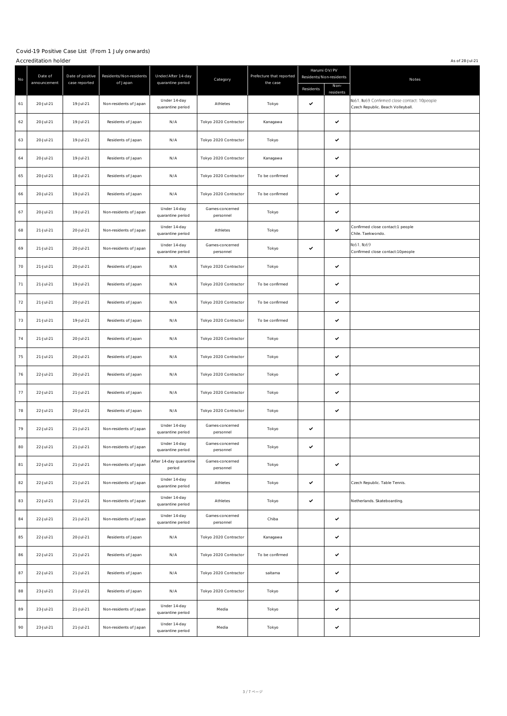|    | Accreditation holder<br>As of 28-J ul-21 |                                   |                                     |                                         |                              |                                      |                                      |                                   |                                                                                   |  |
|----|------------------------------------------|-----------------------------------|-------------------------------------|-----------------------------------------|------------------------------|--------------------------------------|--------------------------------------|-----------------------------------|-----------------------------------------------------------------------------------|--|
| No | Date of<br>announcement                  | Date of positive<br>case reported | Residents/Non-residents<br>of Japan | Under/After 14-day<br>quarantine period | Category                     | Prefecture that reported<br>the case | Residents/Non-residents<br>Residents | Harumi OV/PV<br>Non-<br>residents | Notes                                                                             |  |
| 61 | 20-Jul-21                                | 19-Jul-21                         | Non-residents of J apan             | Under 14-day<br>quarantine period       | Athletes                     | Tokyo                                | $\checkmark$                         |                                   | Na61, Na69 Confirmed close contact: 10people<br>Czech Republic. Beach Volleyball. |  |
| 62 | 20-Jul-21                                | 19-Jul-21                         | Residents of J apan                 | N/A                                     | Tokyo 2020 Contractor        | Kanagawa                             |                                      | ✓                                 |                                                                                   |  |
| 63 | 20-Jul-21                                | 19-Jul-21                         | Residents of J apan                 | N/A                                     | Tokyo 2020 Contractor        | Tokyo                                |                                      | ✓                                 |                                                                                   |  |
| 64 | 20-Jul-21                                | 19-Jul-21                         | Residents of J apan                 | N/A                                     | Tokyo 2020 Contractor        | Kanagawa                             |                                      | ✓                                 |                                                                                   |  |
| 65 | 20-Jul-21                                | 18-Jul-21                         | Residents of J apan                 | N/A                                     | Tokyo 2020 Contractor        | To be confirmed                      |                                      | ✓                                 |                                                                                   |  |
| 66 | 20-Jul-21                                | 19-Jul-21                         | Residents of J apan                 | N/A                                     | Tokyo 2020 Contractor        | To be confirmed                      |                                      | ✓                                 |                                                                                   |  |
| 67 | 20-Jul-21                                | 19-Jul-21                         | Non-residents of J apan             | Under 14-day<br>quarantine period       | Games-concerned<br>personnel | Tokyo                                |                                      | ✓                                 |                                                                                   |  |
| 68 | 21-Jul-21                                | 20-Jul-21                         | Non-residents of J apan             | Under 14-day<br>quarantine period       | Athletes                     | Tokyo                                |                                      | $\checkmark$                      | Confirmed close contact:1 people<br>Chile. Taekwondo.                             |  |
| 69 | 21-Jul-21                                | 20-Jul-21                         | Non-residents of J apan             | Under 14-day<br>quarantine period       | Games-concerned<br>personnel | Tokyo                                | $\checkmark$                         |                                   | Na61, Na69<br>Confirmed close contact:10people                                    |  |
| 70 | 21-Jul-21                                | 20-Jul-21                         | Residents of J apan                 | N/A                                     | Tokyo 2020 Contractor        | Tokyo                                |                                      | ✓                                 |                                                                                   |  |
| 71 | 21-Jul-21                                | 19-Jul-21                         | Residents of J apan                 | N/A                                     | Tokyo 2020 Contractor        | To be confirmed                      |                                      | ✓                                 |                                                                                   |  |
| 72 | 21-Jul-21                                | 20-Jul-21                         | Residents of J apan                 | N/A                                     | Tokyo 2020 Contractor        | To be confirmed                      |                                      | ✓                                 |                                                                                   |  |
| 73 | 21-Jul-21                                | 19-Jul-21                         | Residents of J apan                 | N/A                                     | Tokyo 2020 Contractor        | To be confirmed                      |                                      | ✓                                 |                                                                                   |  |
| 74 | 21-Jul-21                                | 20-Jul-21                         | Residents of J apan                 | N/A                                     | Tokyo 2020 Contractor        | Tokyo                                |                                      | ✓                                 |                                                                                   |  |
| 75 | 21-Jul-21                                | 20-Jul-21                         | Residents of J apan                 | N/A                                     | Tokyo 2020 Contractor        | Tokyo                                |                                      | ✓                                 |                                                                                   |  |
| 76 | 22-Jul-21                                | 20-Jul-21                         | Residents of J apan                 | N/A                                     | Tokyo 2020 Contractor        | Tokyo                                |                                      | ✓                                 |                                                                                   |  |
| 77 | 22-Jul-21                                | 21-Jul-21                         | Residents of J apan                 | N/A                                     | Tokyo 2020 Contractor        | Tokyo                                |                                      | ✓                                 |                                                                                   |  |
| 78 | 22-Jul-21                                | 20-Jul-21                         | Residents of J apan                 | N/A                                     | Tokyo 2020 Contractor        | Tokyo                                |                                      | ✓                                 |                                                                                   |  |
| 79 | 22-Jul-21                                | 21-Jul-21                         | Non-residents of J apan             | Under 14-day<br>quarantine period       | Games-concerned<br>personnel | Tokyo                                | $\checkmark$                         |                                   |                                                                                   |  |
| 80 | 22-Jul-21                                | 21-Jul-21                         | Non-residents of J apan             | Under 14-day<br>quarantine period       | Games-concerned<br>personnel | Tokyo                                | $\checkmark$                         |                                   |                                                                                   |  |
| 81 | 22-Jul-21                                | 21-Jul-21                         | Non-residents of J apan             | After 14-day quarantine<br>period       | Games-concerned<br>personnel | Tokyo                                |                                      | $\checkmark$                      |                                                                                   |  |
| 82 | 22-Jul-21                                | 21-Jul-21                         | Non-residents of J apan             | Under 14-day<br>quarantine period       | Athletes                     | Tokyo                                | $\checkmark$                         |                                   | Czech Republic. Table Tennis.                                                     |  |
| 83 | 22-Jul-21                                | 21-Jul-21                         | Non-residents of J apan             | Under 14-day<br>quarantine period       | Athletes                     | Tokyo                                | $\checkmark$                         |                                   | Netherlands. Skateboarding.                                                       |  |
| 84 | 22-Jul-21                                | 21-Jul-21                         | Non-residents of J apan             | Under 14-day<br>quarantine period       | Games-concerned<br>personnel | Chiba                                |                                      | ✓                                 |                                                                                   |  |
| 85 | 22-Jul-21                                | 20-Jul-21                         | Residents of J apan                 | N/A                                     | Tokyo 2020 Contractor        | Kanagawa                             |                                      | ✓                                 |                                                                                   |  |
| 86 | 22-Jul-21                                | 21-Jul-21                         | Residents of J apan                 | N/A                                     | Tokyo 2020 Contractor        | To be confirmed                      |                                      | ✓                                 |                                                                                   |  |
| 87 | 22-Jul-21                                | 21-Jul-21                         | Residents of J apan                 | N/A                                     | Tokyo 2020 Contractor        | saitama                              |                                      | $\checkmark$                      |                                                                                   |  |
| 88 | 23-Jul-21                                | 21-Jul-21                         | Residents of J apan                 | N/A                                     | Tokyo 2020 Contractor        | Tokyo                                |                                      | $\checkmark$                      |                                                                                   |  |
| 89 | 23-Jul-21                                | 21-Jul-21                         | Non-residents of J apan             | Under 14-day<br>quarantine period       | Media                        | Tokyo                                |                                      | ✓                                 |                                                                                   |  |
| 90 | 23-Jul-21                                | 21-Jul-21                         | Non-residents of J apan             | Under 14-day<br>quarantine period       | Media                        | Tokyo                                |                                      | ✓                                 |                                                                                   |  |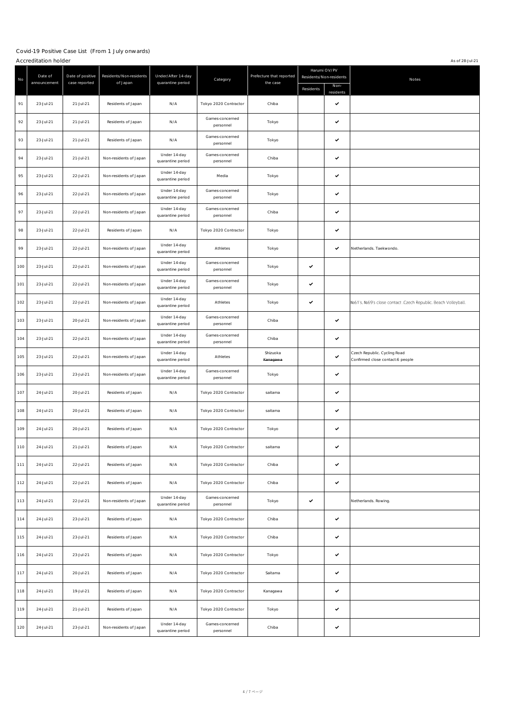|     | Accreditation holder    |                                   |                                     |                                         |                              |                                      |              |                                                              | As of 28-J ul-21                                                 |
|-----|-------------------------|-----------------------------------|-------------------------------------|-----------------------------------------|------------------------------|--------------------------------------|--------------|--------------------------------------------------------------|------------------------------------------------------------------|
| No  | Date of<br>announcement | Date of positive<br>case reported | Residents/Non-residents<br>of Japan | Under/After 14-day<br>quarantine period | Category                     | Prefecture that reported<br>the case | Residents    | Harumi OV/PV<br>Residents/Non-residents<br>Non-<br>residents | Notes                                                            |
| 91  | 23-Jul-21               | 21-Jul-21                         | Residents of J apan                 | N/A                                     | Tokyo 2020 Contractor        | Chiba                                |              | ✓                                                            |                                                                  |
| 92  | 23-Jul-21               | 21-Jul-21                         | Residents of J apan                 | N/A                                     | Games-concerned<br>personnel | Tokyo                                |              | ✓                                                            |                                                                  |
| 93  | 23-Jul-21               | 21-Jul-21                         | Residents of J apan                 | N/A                                     | Games-concerned<br>personnel | Tokyo                                |              | ✓                                                            |                                                                  |
| 94  | 23-Jul-21               | 21-Jul-21                         | Non-residents of J apan             | Under 14-day<br>quarantine period       | Games-concerned<br>personnel | Chiba                                |              | ✓                                                            |                                                                  |
| 95  | 23-Jul-21               | 22-Jul-21                         | Non-residents of J apan             | Under 14-day<br>quarantine period       | Media                        | Tokyo                                |              | ✓                                                            |                                                                  |
| 96  | 23-Jul-21               | 22-Jul-21                         | Non-residents of J apan             | Under 14-day<br>quarantine period       | Games-concerned<br>personnel | Tokyo                                |              | ✓                                                            |                                                                  |
| 97  | 23-Jul-21               | 22-Jul-21                         | Non-residents of J apan             | Under 14-day<br>quarantine period       | Games-concerned<br>personnel | Chiba                                |              | $\checkmark$                                                 |                                                                  |
| 98  | 23-Jul-21               | 22-Jul-21                         | Residents of J apan                 | N/A                                     | Tokyo 2020 Contractor        | Tokyo                                |              | $\checkmark$                                                 |                                                                  |
| 99  | 23-Jul-21               | 22-Jul-21                         | Non-residents of J apan             | Under 14-day<br>quarantine period       | Athletes                     | Tokyo                                |              | ✓                                                            | Netherlands. Taekwondo.                                          |
| 100 | 23-Jul-21               | 22-Jul-21                         | Non-residents of J apan             | Under 14-day<br>quarantine period       | Games-concerned<br>personnel | Tokyo                                | $\checkmark$ |                                                              |                                                                  |
| 101 | 23-Jul-21               | 22-Jul-21                         | Non-residents of J apan             | Under 14-day<br>quarantine period       | Games-concerned<br>personnel | Tokyo                                | $\checkmark$ |                                                              |                                                                  |
| 102 | 23-J ul-21              | 22-Jul-21                         | Non-residents of J apan             | Under 14-day<br>quarantine period       | Athletes                     | Tokyo                                | $\checkmark$ |                                                              | Na61's, Na69's close contact .Czech Republic. Beach Volleyball.  |
| 103 | 23-Jul-21               | 20-Jul-21                         | Non-residents of J apan             | Under 14-day<br>quarantine period       | Games-concerned<br>personnel | Chiba                                |              | ✓                                                            |                                                                  |
| 104 | 23-Jul-21               | 22-Jul-21                         | Non-residents of J apan             | Under 14-day<br>quarantine period       | Games-concerned<br>personnel | Chiba                                |              | $\checkmark$                                                 |                                                                  |
| 105 | 23-Jul-21               | 22-Jul-21                         | Non-residents of J apan             | Under 14-day<br>quarantine period       | Athletes                     | Shizuoka<br>Kanagawa                 |              | ✓                                                            | Czech Republic. Cycling Road<br>Confirmed close contact:6 people |
| 106 | 23-Jul-21               | 23-Jul-21                         | Non-residents of J apan             | Under 14-day<br>quarantine period       | Games-concerned<br>personnel | Tokyo                                |              | ✓                                                            |                                                                  |
| 107 | 24-Jul-21               | 20-Jul-21                         | Residents of J apan                 | N/A                                     | Tokyo 2020 Contractor        | saitama                              |              | ✓                                                            |                                                                  |
| 108 | 24-Jul-21               | 20-Jul-21                         | Residents of J apan                 | N/A                                     | Tokyo 2020 Contractor        | saitama                              |              | ✓                                                            |                                                                  |
| 109 | 24-Jul-21               | 20-Jul-21                         | Residents of J apan                 | N/A                                     | Tokyo 2020 Contractor        | Tokyo                                |              | ✓                                                            |                                                                  |
| 110 | 24-Jul-21               | 21-Jul-21                         | Residents of Japan                  | N/A                                     | Tokyo 2020 Contractor        | saitama                              |              | ✓                                                            |                                                                  |
| 111 | 24-Jul-21               | 22-Jul-21                         | Residents of J apan                 | N/A                                     | Tokyo 2020 Contractor        | Chiba                                |              | $\checkmark$                                                 |                                                                  |
| 112 | 24-Jul-21               | 22-Jul-21                         | Residents of J apan                 | N/A                                     | Tokyo 2020 Contractor        | Chiba                                |              | ✓                                                            |                                                                  |
| 113 | 24-Jul-21               | 22-Jul-21                         | Non-residents of J apan             | Under 14-day<br>quarantine period       | Games-concerned<br>personnel | Tokyo                                | $\checkmark$ |                                                              | Netherlands. Rowing.                                             |
| 114 | 24-Jul-21               | 23-Jul-21                         | Residents of J apan                 | N/A                                     | Tokyo 2020 Contractor        | Chiba                                |              | ✓                                                            |                                                                  |
| 115 | 24-Jul-21               | 23-Jul-21                         | Residents of J apan                 | N/A                                     | Tokyo 2020 Contractor        | Chiba                                |              | ✓                                                            |                                                                  |
| 116 | 24-Jul-21               | 23-Jul-21                         | Residents of J apan                 | N/A                                     | Tokyo 2020 Contractor        | Tokyo                                |              | ✓                                                            |                                                                  |
| 117 | 24-Jul-21               | 20-Jul-21                         | Residents of J apan                 | N/A                                     | Tokyo 2020 Contractor        | Saitama                              |              | $\checkmark$                                                 |                                                                  |
| 118 | 24-Jul-21               | 19-Jul-21                         | Residents of J apan                 | N/A                                     | Tokyo 2020 Contractor        | Kanagawa                             |              | $\checkmark$                                                 |                                                                  |
| 119 | 24-Jul-21               | 21-Jul-21                         | Residents of J apan                 | N/A                                     | Tokyo 2020 Contractor        | Tokyo                                |              | ✓                                                            |                                                                  |
| 120 | 24-Jul-21               | 23-Jul-21                         | Non-residents of J apan             | Under 14-day<br>quarantine period       | Games-concerned<br>personnel | Chiba                                |              | ✓                                                            |                                                                  |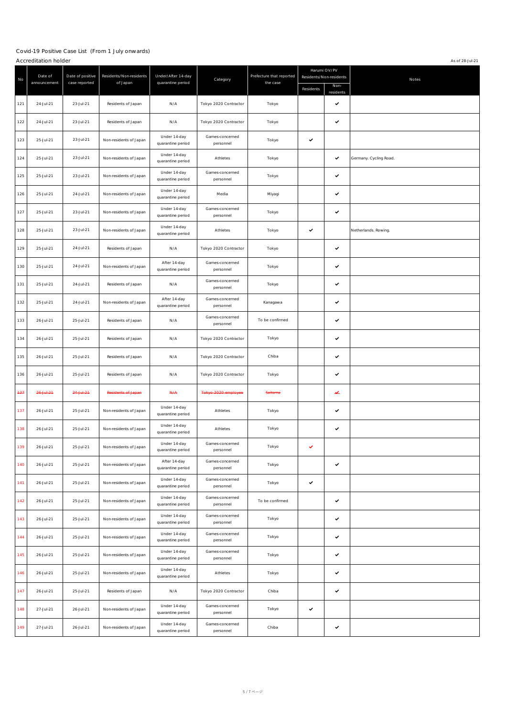|       | Accreditation holder<br>As of 28-J ul-21 |                                   |                                      |                                         |                              |                                      |                                                      |                |                        |  |
|-------|------------------------------------------|-----------------------------------|--------------------------------------|-----------------------------------------|------------------------------|--------------------------------------|------------------------------------------------------|----------------|------------------------|--|
| No    | Date of<br>announcement                  | Date of positive<br>case reported | Residents/Non-residents<br>of J apan | Under/After 14-day<br>quarantine period | Category                     | Prefecture that reported<br>the case | Harumi OV/PV<br>Residents/Non-residents<br>Residents | Non-           | Notes                  |  |
| 121   | 24-Jul-21                                | 23-Jul-21                         | Residents of J apan                  | N/A                                     | Tokyo 2020 Contractor        | Tokyo                                |                                                      | residents<br>✓ |                        |  |
| 122   | 24-Jul-21                                | 23-Jul-21                         | Residents of Japan                   | N/A                                     | Tokyo 2020 Contractor        | Tokyo                                |                                                      | ✓              |                        |  |
| 123   | 25-Jul-21                                | 23-Jul-21                         | Non-residents of J apan              | Under 14-day<br>quarantine period       | Games-concerned<br>personnel | Tokyo                                | $\checkmark$                                         |                |                        |  |
| 124   | 25-Jul-21                                | 23-Jul-21                         | Non-residents of J apan              | Under 14-day<br>quarantine period       | Athletes                     | Tokyo                                |                                                      | ✓              | Germany. Cycling Road. |  |
| 125   | 25-Jul-21                                | 23-Jul-21                         | Non-residents of J apan              | Under 14-day<br>quarantine period       | Games-concerned<br>personnel | Tokyo                                |                                                      | ✓              |                        |  |
| 126   | 25-Jul-21                                | 24-Jul-21                         | Non-residents of J apan              | Under 14-day<br>quarantine period       | Media                        | Miyagi                               |                                                      | ✓              |                        |  |
| 127   | 25-Jul-21                                | 23-Jul-21                         | Non-residents of J apan              | Under 14-day<br>quarantine period       | Games-concerned<br>personnel | Tokyo                                |                                                      | ✓              |                        |  |
| 128   | 25-Jul-21                                | 23-Jul-21                         | Non-residents of J apan              | Under 14-day<br>quarantine period       | Athletes                     | Tokyo                                | $\checkmark$                                         |                | Netherlands. Rowing.   |  |
| 129   | 25-Jul-21                                | 24-Jul-21                         | Residents of Japan                   | N/A                                     | Tokyo 2020 Contractor        | Tokyo                                |                                                      | ✓              |                        |  |
| 130   | 25-Jul-21                                | 24-Jul-21                         | Non-residents of J apan              | After 14-day<br>quarantine period       | Games-concerned<br>personnel | Tokyo                                |                                                      | ✓              |                        |  |
| 131   | 25-Jul-21                                | 24-Jul-21                         | Residents of J apan                  | N/A                                     | Games-concerned<br>personnel | Tokyo                                |                                                      | ✓              |                        |  |
| 132   | 25-Jul-21                                | 24-Jul-21                         | Non-residents of J apan              | After 14-day<br>quarantine period       | Games-concerned<br>personnel | Kanagawa                             |                                                      | ✓              |                        |  |
| 133   | 26-Jul-21                                | 25-Jul-21                         | Residents of J apan                  | N/A                                     | Games-concerned<br>personnel | To be confirmed                      |                                                      | ✓              |                        |  |
| 134   | 26-Jul-21                                | 25-Jul-21                         | Residents of J apan                  | N/A                                     | Tokyo 2020 Contractor        | Tokyo                                |                                                      | ✓              |                        |  |
| 135   | 26-Jul-21                                | 25-Jul-21                         | Residents of Japan                   | N/A                                     | Tokyo 2020 Contractor        | Chiba                                |                                                      | ✓              |                        |  |
| 136   | 26-Jul-21                                | 25-Jul-21                         | Residents of Japan                   | N/A                                     | Tokyo 2020 Contractor        | Tokyo                                |                                                      | ✓              |                        |  |
| $+37$ | $26 + 1 + 21$                            | $24 + u + 21$                     | Residents of Japan                   | N/A                                     | Tokyo 2020 employee          | <b>Saitama</b>                       |                                                      | ↵              |                        |  |
| 137   | 26-Jul-21                                | 25-Jul-21                         | Non-residents of J apan              | Under 14-day<br>quarantine period       | Athletes                     | Tokyo                                |                                                      | ✓              |                        |  |
| 138   | 26-Jul-21                                | 25-Jul-21                         | Non-residents of Japan               | Under 14-day<br>quarantine period       | Athletes                     | Tokyo                                |                                                      | ✓              |                        |  |
| 139   | 26-Jul-21                                | 25-Jul-21                         | Non-residents of J apan              | Under 14-day<br>quarantine period       | Games-concerned<br>personnel | Tokyo                                | $\checkmark$                                         |                |                        |  |
| 140   | 26-Jul-21                                | 25-Jul-21                         | Non-residents of Japan               | After 14-day<br>quarantine period       | Games-concerned<br>personnel | Tokyo                                |                                                      | $\checkmark$   |                        |  |
| 141   | 26-Jul-21                                | 25-Jul-21                         | Non-residents of J apan              | Under 14-day<br>quarantine period       | Games-concerned<br>personnel | Tokyo                                | $\checkmark$                                         |                |                        |  |
| 142   | 26-Jul-21                                | 25-Jul-21                         | Non-residents of Japan               | Under 14-day<br>quarantine period       | Games-concerned<br>personnel | To be confirmed                      |                                                      | ✓              |                        |  |
| 143   | 26-Jul-21                                | 25-Jul-21                         | Non-residents of J apan              | Under 14-day<br>quarantine period       | Games-concerned<br>personnel | Tokyo                                |                                                      | ✓              |                        |  |
| 144   | 26-Jul-21                                | 25-Jul-21                         | Non-residents of J apan              | Under 14-day<br>quarantine period       | Games-concerned<br>personnel | Tokyo                                |                                                      | ✓              |                        |  |
| 145   | 26-Jul-21                                | 25-Jul-21                         | Non-residents of Japan               | Under 14-day<br>quarantine period       | Games-concerned<br>personnel | Tokyo                                |                                                      | ✓              |                        |  |
| 146   | 26-Jul-21                                | 25-Jul-21                         | Non-residents of J apan              | Under 14-day<br>quarantine period       | Athletes                     | Tokyo                                |                                                      | ✓              |                        |  |
| 147   | 26-Jul-21                                | 25-Jul-21                         | Residents of J apan                  | N/A                                     | Tokyo 2020 Contractor        | Chiba                                |                                                      | ✓              |                        |  |
| 148   | 27-Jul-21                                | 26-Jul-21                         | Non-residents of J apan              | Under 14-day<br>quarantine period       | Games-concerned<br>personnel | Tokyo                                | $\checkmark$                                         |                |                        |  |
| 149   | 27-Jul-21                                | 26-Jul-21                         | Non-residents of J apan              | Under 14-day<br>quarantine period       | Games-concerned<br>personnel | Chiba                                |                                                      | ✓              |                        |  |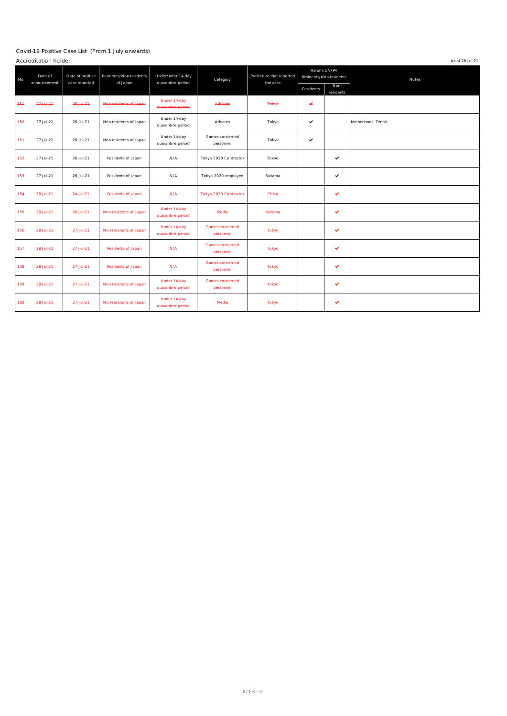|       | Accreditation holder<br>As of 28-J ul-21 |                                   |                                     |                                         |                              |                                      |              |                                         |                      |
|-------|------------------------------------------|-----------------------------------|-------------------------------------|-----------------------------------------|------------------------------|--------------------------------------|--------------|-----------------------------------------|----------------------|
| No    | Date of<br>announcement                  | Date of positive<br>case reported | Residents/Non-residents<br>of Japan | Under/After 14-day<br>quarantine period | Category                     | Prefecture that reported<br>the case |              | Harumi OV/PV<br>Residents/Non-residents | Notes                |
|       |                                          |                                   |                                     |                                         |                              |                                      | Residents    | Non-<br>residents                       |                      |
| $+5+$ | $27 + u + 21$                            | $26 + 421$                        | Non-residents of Japan              | Under 14-day<br>quarantine period       | <b>Athletes</b>              | <b>Tokyo</b>                         | v            |                                         |                      |
| 150   | 27-Jul-21                                | 26-Jul-21                         | Non-residents of Japan              | Under 14-day<br>quarantine period       | Athletes                     | Tokyo                                | $\checkmark$ |                                         | Netherlands. Tennis. |
| 151   | 27-Jul-21                                | 26-Jul-21                         | Non-residents of Japan              | Under 14-day<br>quarantine period       | Games-concerned<br>personnel | Tokyo                                | $\checkmark$ |                                         |                      |
| 152   | 27-Jul-21                                | 26-Jul-21                         | Residents of J apan                 | N/A                                     | Tokyo 2020 Contractor        | Tokyo                                |              | ✓                                       |                      |
| 153   | 27-Jul-21                                | 26-Jul-21                         | Residents of J apan                 | N/A                                     | Tokyo 2020 employee          | Saitama                              |              | $\checkmark$                            |                      |
| 154   | 28-Jul-21                                | 24-Jul-21                         | Residents of J apan                 | N/A                                     | Tokyo 2020 Contractor        | Chiba                                |              | ✔                                       |                      |
| 155   | 28-Jul-21                                | $26 -  $ ul-21                    | Non-residents of J apan             | Under 14-day<br>quarantine period       | Media                        | Saitama                              |              | ✓                                       |                      |
| 156   | 28-Jul-21                                | 27-Jul-21                         | Non-residents of J apan             | Under 14-day<br>quarantine period       | Games-concerned<br>personnel | <b>Tokyo</b>                         |              | v                                       |                      |
| 157   | 28-Jul-21                                | 27-Jul-21                         | Residents of J apan                 | N/A                                     | Games-concerned<br>personnel | Tokyo                                |              | ✓                                       |                      |
| 158   | 28-Jul-21                                | 27-Jul-21                         | Residents of J apan                 | N/A                                     | Games-concerned<br>personnel | <b>Tokyo</b>                         |              | ✓                                       |                      |
| 159   | 28-Jul-21                                | $27 -  u  - 21$                   | Non-residents of J apan             | Under 14-day<br>quarantine period       | Games-concerned<br>personnel | <b>Tokyo</b>                         |              | ✓                                       |                      |
| 160   | 28-Jul-21                                | 27-Jul-21                         | Non-residents of J apan             | Under 14-day<br>quarantine period       | Media                        | <b>Tokyo</b>                         |              | ✓                                       |                      |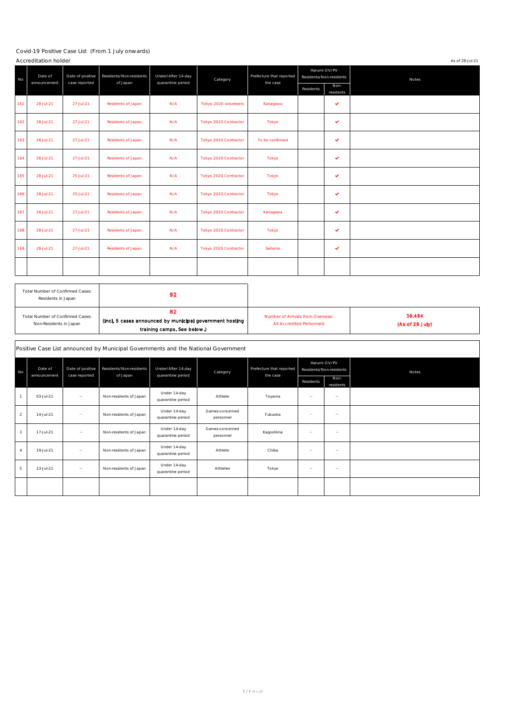|     | Accreditation holder<br>As of 28-J ul-21 |                                   |                                     |                                         |                       |                                      |           |                                         |       |  |
|-----|------------------------------------------|-----------------------------------|-------------------------------------|-----------------------------------------|-----------------------|--------------------------------------|-----------|-----------------------------------------|-------|--|
| No  | Date of<br>announcement                  | Date of positive<br>case reported | Residents/Non-residents<br>of Japan | Under/After 14-day<br>quarantine period | Category              | Prefecture that reported<br>the case |           | Harumi OV/PV<br>Residents/Non-residents | Notes |  |
|     |                                          |                                   |                                     |                                         |                       |                                      | Residents | Non-<br>residents                       |       |  |
| 161 | 28-Jul-21                                | 27-Jul-21                         | Residents of J apan                 | N/A                                     | Tokyo 2020 volunteers | Kanagawa                             |           | $\checkmark$                            |       |  |
| 162 | 28-Jul-21                                | 27-Jul-21                         | Residents of Japan                  | N/A                                     | Tokyo 2020 Contractor | Tokyo                                |           | $\checkmark$                            |       |  |
| 163 | 28-Jul-21                                | 27-Jul-21                         | Residents of Japan                  | N/A                                     | Tokyo 2020 Contractor | To be confirmed                      |           | ✓                                       |       |  |
| 164 | 28-Jul-21                                | 27-Jul-21                         | Residents of J apan                 | N/A                                     | Tokyo 2020 Contractor | Tokyo                                |           | $\checkmark$                            |       |  |
| 165 | 28-Jul-21                                | 25-Jul-21                         | Residents of J apan                 | N/A                                     | Tokyo 2020 Contractor | Tokyo                                |           | ✓                                       |       |  |
| 166 | 28-Jul-21                                | 25-Jul-21                         | Residents of Japan                  | N/A                                     | Tokyo 2020 Contractor | Tokyo                                |           | $\checkmark$                            |       |  |
| 167 | 28-Jul-21                                | 27-Jul-21                         | Residents of Japan                  | N/A                                     | Tokyo 2020 Contractor | Kanagawa                             |           | $\checkmark$                            |       |  |
| 168 | 28-Jul-21                                | 27-Jul-21                         | Residents of J apan                 | N/A                                     | Tokyo 2020 Contractor | Tokyo                                |           | $\checkmark$                            |       |  |
| 169 | 28-Jul-21                                | 27-Jul-21                         | Residents of J apan                 | N/A                                     | Tokyo 2020 Contractor | Saitama                              |           | $\checkmark$                            |       |  |
|     |                                          |                                   |                                     |                                         |                       |                                      |           |                                         |       |  |

| Total Number of Confirmed Cases:<br>Residents in J apan | 92                                                       |                                   |                 |
|---------------------------------------------------------|----------------------------------------------------------|-----------------------------------|-----------------|
| Total Number of Confirmed Cases:                        | 82                                                       | Number of Arrivals from Overseas: | 38,484          |
| Non-Residents in J apan                                 | (Incl. 5 cases announced by municipal government hosting | <b>All Accredited Personnels</b>  | (As of 26 July) |
|                                                         | training camps. See below.)                              |                                   |                 |

|                         | Positive Case List announced by Municipal Governments and the National Government |                                   |                         |                                   |                              |                          |                          |                                         |       |
|-------------------------|-----------------------------------------------------------------------------------|-----------------------------------|-------------------------|-----------------------------------|------------------------------|--------------------------|--------------------------|-----------------------------------------|-------|
| No                      | Date of<br>announcement                                                           | Date of positive<br>case reported | Residents/Non-residents | Under/After 14-day                | Category                     | Prefecture that reported |                          | Harumi OV/PV<br>Residents/Non-residents | Notes |
|                         |                                                                                   |                                   | of Japan                | quarantine period                 |                              | the case                 | Residents                | Non-<br>residents                       |       |
| $\mathbf{1}$            | 03-Jul-21                                                                         | $\hspace{0.1mm}-\hspace{0.1mm}$   | Non-residents of J apan | Under 14-day<br>quarantine period | Athlete                      | Toyama                   | $\overline{\phantom{a}}$ | $\overline{\phantom{a}}$                |       |
| $\overline{2}$          | 14-J ul-21                                                                        | $\qquad \qquad -$                 | Non-residents of J apan | Under 14-day<br>quarantine period | Games-concerned<br>personnel | Fukuoka                  | $\equiv$                 | $\qquad \qquad =$                       |       |
| $\overline{\mathbf{3}}$ | 17-Jul-21                                                                         | $\hspace{0.1mm}-\hspace{0.1mm}$   | Non-residents of J apan | Under 14-day<br>quarantine period | Games-concerned<br>personnel | Kagoshima                | $\qquad \qquad$          | $\overline{\phantom{m}}$                |       |
| $\overline{4}$          | 19-Jul-21                                                                         | $\hspace{0.1mm}-\hspace{0.1mm}$   | Non-residents of J apan | Under 14-day<br>quarantine period | Athlete                      | Chiba                    | $\overline{\phantom{a}}$ | $\overline{\phantom{a}}$                |       |
| 5                       | 23-Jul-21                                                                         | $\overline{\phantom{m}}$          | Non-residents of J apan | Under 14-day<br>quarantine period | Athletes                     | Tokyo                    | $\qquad \qquad$          | $\overline{\phantom{a}}$                |       |
|                         |                                                                                   |                                   |                         |                                   |                              |                          |                          |                                         |       |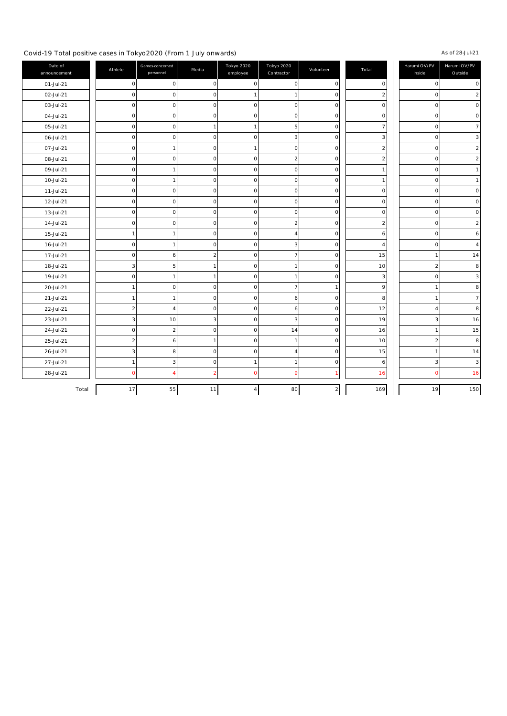#### Covid-19 Total positive cases in Tokyo2020 (From 1 J uly onwards) ÷.

### As of 28-J ul-21

| Date of<br>announcement | Athlete             | Games-concerned<br>personnel | Media          | Tokyo 2020<br>employee | Tokyo 2020<br>Contractor | Volunteer               | Total          | Harumi OV/PV<br>Inside | Harumi OV/PV<br>Outside |
|-------------------------|---------------------|------------------------------|----------------|------------------------|--------------------------|-------------------------|----------------|------------------------|-------------------------|
| 01-J ul-21              | $\mathsf{O}\xspace$ | 0                            | $\mathbf 0$    | $\mathbf 0$            | $\mathbf 0$              | 0                       | C              | C                      | $\pmb{0}$               |
| 02-J ul-21              | 0                   | 0                            | $\mathbf 0$    | $\mathbf{1}$           | $\mathbf{1}$             | $\Omega$                |                |                        | $\overline{\mathbf{c}}$ |
| 03-J ul-21              | $\mathsf 0$         | 0                            | 0              | $\pmb{0}$              | $\mathbf 0$              | $\Omega$                | $\Omega$       | 0                      | $\pmb{0}$               |
| 04-J ul-21              | $\pmb{0}$           | 0                            | $\mathbf 0$    | $\pmb{0}$              | $\Omega$                 | $\Omega$                | $\Omega$       | $\Omega$               | $\pmb{0}$               |
| 05-J ul-21              | $\mathsf{O}\xspace$ | 0                            | $\mathbf{1}$   | $\,1$                  | 5                        | $\Omega$                |                | 0                      | $\overline{7}$          |
| 06-J ul-21              | $\mathsf 0$         | 0                            | $\mathbf 0$    | $\mathbf 0$            | З                        | $\Omega$                | З              | $\Omega$               | 3                       |
| 07-J ul-21              | $\mathsf{O}\xspace$ | $\mathbf{1}$                 | $\mathbf 0$    | $\mathbf{1}$           | $\mathbf 0$              | 0                       | $\overline{2}$ | 0                      | $\overline{\mathbf{c}}$ |
| 08-J ul-21              | $\mathsf 0$         | 0                            | 0              | $\pmb{0}$              | 2                        | 0                       | $\overline{2}$ | 0                      | $\overline{\mathbf{c}}$ |
| 09-J ul-21              | $\pmb{0}$           | 1                            | $\mathbf 0$    | $\mathsf 0$            | $\mathbf 0$              | $\Omega$                |                | $\Omega$               | $\mathbf 1$             |
| 10-J ul-21              | $\pmb{0}$           | 1                            | 0              | $\pmb{0}$              | 0                        | $\Omega$                |                | 0                      | $\mathbf 1$             |
| 11-J ul-21              | $\pmb{0}$           | 0                            | 0              | $\mathsf 0$            | $\mathbf 0$              | $\Omega$                | C              | $\Omega$               | $\pmb{0}$               |
| 12-J ul-21              | $\mathsf{O}\xspace$ | 0                            | $\mathbf 0$    | $\pmb{0}$              | $\mathbf 0$              | $\Omega$                | $\Omega$       | $\Omega$               | $\pmb{0}$               |
| 13-J ul-21              | $\mathsf 0$         | 0                            | $\mathbf 0$    | $\pmb{0}$              | $\mathbf 0$              | 0                       | $\mathsf{C}$   | 0                      | $\pmb{0}$               |
| 14-J ul-21              | $\pmb{0}$           | 0                            | 0              | $\mathsf 0$            | $\overline{\mathbf{2}}$  | $\Omega$                | 2              | 0                      | $\overline{2}$          |
| 15-J ul-21              | 1                   | 1                            | 0              | $\pmb{0}$              | 4                        | O                       | 6              | 0                      | 6                       |
| 16-Jul-21               | $\pmb{0}$           | 1                            | 0              | $\mathsf 0$            | 3                        | 0                       |                | $\Omega$               | $\overline{a}$          |
| 17-J ul-21              | $\mathsf{O}\xspace$ | 6                            | $\overline{2}$ | $\mathsf 0$            | $\overline{7}$           | $\Omega$                | 15             |                        | 14                      |
| 18-Jul-21               | 3                   | 5                            | 1              | $\pmb{0}$              | $\mathbf{1}$             | $\Omega$                | 10             | 2                      | 8                       |
| 19-Jul-21               | $\mathsf{O}\xspace$ | 1                            | $\mathbf{1}$   | $\pmb{0}$              | $\mathbf{1}$             | $\Omega$                | З              | 0                      | 3                       |
| 20-Jul-21               | $\mathbf 1$         | 0                            | 0              | $\pmb{0}$              | $\overline{7}$           |                         | 9              |                        | 8                       |
| 21-J ul-21              | $\mathbf{1}$        | 1                            | $\mathbf 0$    | $\mathsf 0$            | 6                        | $\Omega$                | 8              |                        | $\overline{7}$          |
| 22-J ul-21              | $\overline{2}$      | 4                            | $\mathbf 0$    | $\mathsf 0$            | 6                        | $\Omega$                | 12             | Δ                      | 8                       |
| 23-J ul-21              | 3                   | 10                           | 3              | $\pmb{0}$              | 3                        | $\Omega$                | 19             | З                      | 16                      |
| 24-J ul-21              | $\pmb{0}$           | $\overline{2}$               | $\mathbf 0$    | $\pmb{0}$              | 14                       | $\Omega$                | 16             |                        | 15                      |
| 25-J ul-21              | 2                   | 6                            | $\mathbf{1}$   | $\mathsf 0$            | $\mathbf{1}$             | 0                       | 10             | $\overline{2}$         | 8                       |
| 26-J ul-21              | 3                   | 8                            | $\mathbf 0$    | $\pmb{0}$              |                          | 0                       | 15             |                        | 14                      |
| 27-Jul-21               | $\mathbf{1}$        | 3                            | 0              | $\mathbf{1}$           | $\mathbf{1}$             | $\Omega$                | 6              | 3                      | 3                       |
| 28-J ul-21              | $\mathbf 0$         |                              | 2              | $\mathbf 0$            | Q                        |                         | 16             | r                      | 16                      |
| Total                   | 17                  | 55                           | 11             | 4                      | 80                       | $\overline{\mathbf{c}}$ | 169            | 19                     | 150                     |
|                         |                     |                              |                |                        |                          |                         |                |                        |                         |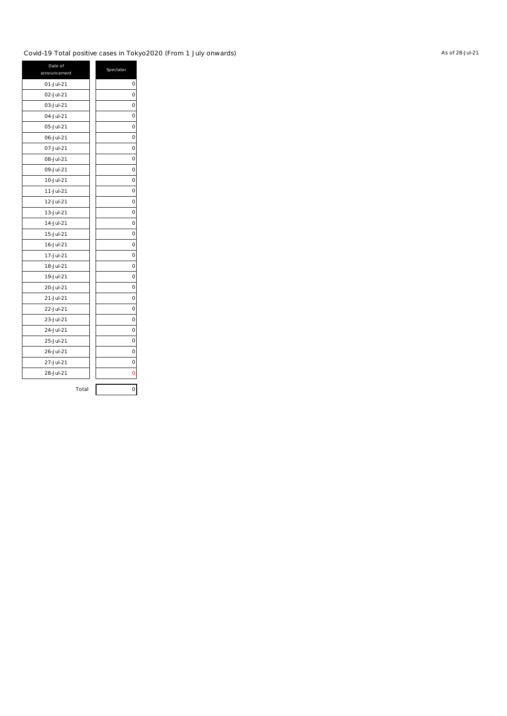### Covid-19 Total positive cases in Tokyo2020 (From 1 J uly onwards)

| Date of<br>announcement | Spectator |
|-------------------------|-----------|
| 01-Jul-21               | 0         |
| 02-Jul-21               | 0         |
| 03-J ul-21              | 0         |
| 04-J ul-21              | 0         |
| 05-J ul-21              | 0         |
| 06-Jul-21               | 0         |
| 07-Jul-21               | 0         |
| 08-Jul-21               | 0         |
| 09-Jul-21               | 0         |
| 10-Jul-21               | 0         |
| 11-Jul-21               | 0         |
| 12-Jul-21               | 0         |
| 13-Jul-21               | 0         |
| 14-J ul-21              | 0         |
| 15-J ul-21              | 0         |
| 16-J ul-21              | 0         |
| 17-J ul-21              | 0         |
| 18-Jul-21               | 0         |
| 19-J ul-21              | 0         |
| 20-Jul-21               | 0         |
| 21-Jul-21               | 0         |
| 22-Jul-21               | 0         |
| 23-Jul-21               | 0         |
| 24-J ul-21              | 0         |
| 25-J ul-21              | 0         |
| 26-Jul-21               | 0         |
| 27-Jul-21               | 0         |
| 28-Jul-21               | 0         |
| Total                   | 0         |